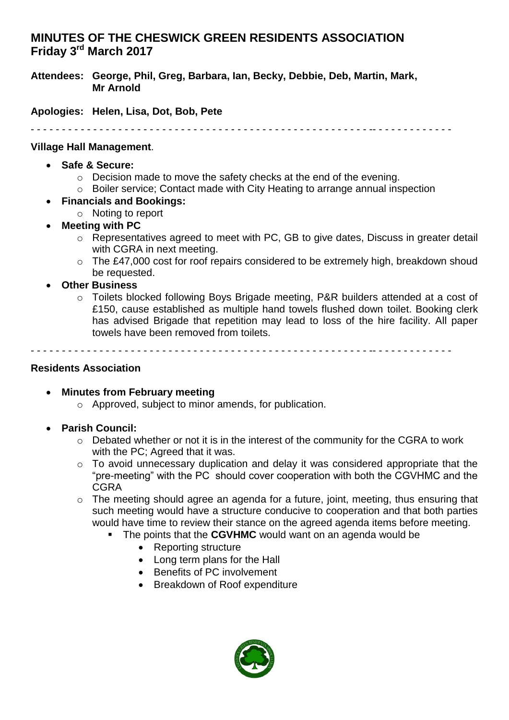# **MINUTES OF THE CHESWICK GREEN RESIDENTS ASSOCIATION Friday 3 rd March 2017**

**Attendees: George, Phil, Greg, Barbara, Ian, Becky, Debbie, Deb, Martin, Mark, Mr Arnold**

**Apologies: Helen, Lisa, Dot, Bob, Pete**

- - - - - - - - - - - - - - - - - - - - - - - - - - - - - - - - - - - - - - - - - - - - - - - - - - - - - - -- - - - - - - - - - - - -

#### **Village Hall Management**.

- **Safe & Secure:** 
	- o Decision made to move the safety checks at the end of the evening.
	- o Boiler service; Contact made with City Heating to arrange annual inspection
- **Financials and Bookings:** 
	- o Noting to report
- **Meeting with PC**
	- o Representatives agreed to meet with PC, GB to give dates, Discuss in greater detail with CGRA in next meeting.
	- o The £47,000 cost for roof repairs considered to be extremely high, breakdown shoud be requested.
- **Other Business**
	- o Toilets blocked following Boys Brigade meeting, P&R builders attended at a cost of £150, cause established as multiple hand towels flushed down toilet. Booking clerk has advised Brigade that repetition may lead to loss of the hire facility. All paper towels have been removed from toilets.

- - - - - - - - - - - - - - - - - - - - - - - - - - - - - - - - - - - - - - - - - - - - - - - - - - - - - - -- - - - - - - - - - - - -

#### **Residents Association**

- **Minutes from February meeting**
	- o Approved, subject to minor amends, for publication.
- **Parish Council:** 
	- o Debated whether or not it is in the interest of the community for the CGRA to work with the PC: Agreed that it was.
	- o To avoid unnecessary duplication and delay it was considered appropriate that the "pre-meeting" with the PC should cover cooperation with both the CGVHMC and the CGRA
	- o The meeting should agree an agenda for a future, joint, meeting, thus ensuring that such meeting would have a structure conducive to cooperation and that both parties would have time to review their stance on the agreed agenda items before meeting.
		- The points that the **CGVHMC** would want on an agenda would be
			- Reporting structure
			- Long term plans for the Hall
			- Benefits of PC involvement
			- Breakdown of Roof expenditure

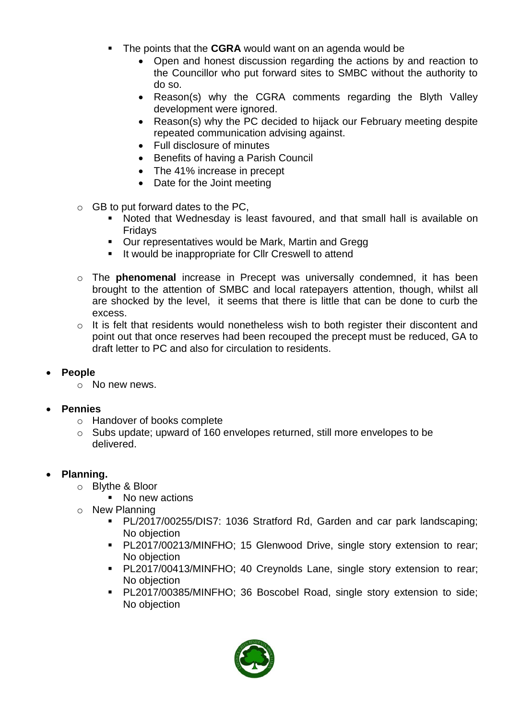- The points that the **CGRA** would want on an agenda would be
	- Open and honest discussion regarding the actions by and reaction to the Councillor who put forward sites to SMBC without the authority to do so.
	- Reason(s) why the CGRA comments regarding the Blyth Valley development were ignored.
	- Reason(s) why the PC decided to hijack our February meeting despite repeated communication advising against.
	- Full disclosure of minutes
	- **•** Benefits of having a Parish Council
	- The 41% increase in precept
	- Date for the Joint meeting
- $\circ$  GB to put forward dates to the PC,
	- Noted that Wednesday is least favoured, and that small hall is available on Fridays
	- **Our representatives would be Mark, Martin and Gregg**
	- It would be inappropriate for Cllr Creswell to attend
- o The **phenomenal** increase in Precept was universally condemned, it has been brought to the attention of SMBC and local ratepayers attention, though, whilst all are shocked by the level, it seems that there is little that can be done to curb the excess.
- o It is felt that residents would nonetheless wish to both register their discontent and point out that once reserves had been recouped the precept must be reduced, GA to draft letter to PC and also for circulation to residents.
- **People**
	- o No new news.

## **Pennies**

- o Handover of books complete
- o Subs update; upward of 160 envelopes returned, still more envelopes to be delivered.

## **Planning.**

- o Blythe & Bloor
	- No new actions
- o New Planning
	- PL/2017/00255/DIS7: 1036 Stratford Rd, Garden and car park landscaping; No objection
	- PL2017/00213/MINFHO; 15 Glenwood Drive, single story extension to rear; No objection
	- PL2017/00413/MINFHO; 40 Creynolds Lane, single story extension to rear; No objection
	- PL2017/00385/MINFHO; 36 Boscobel Road, single story extension to side; No objection